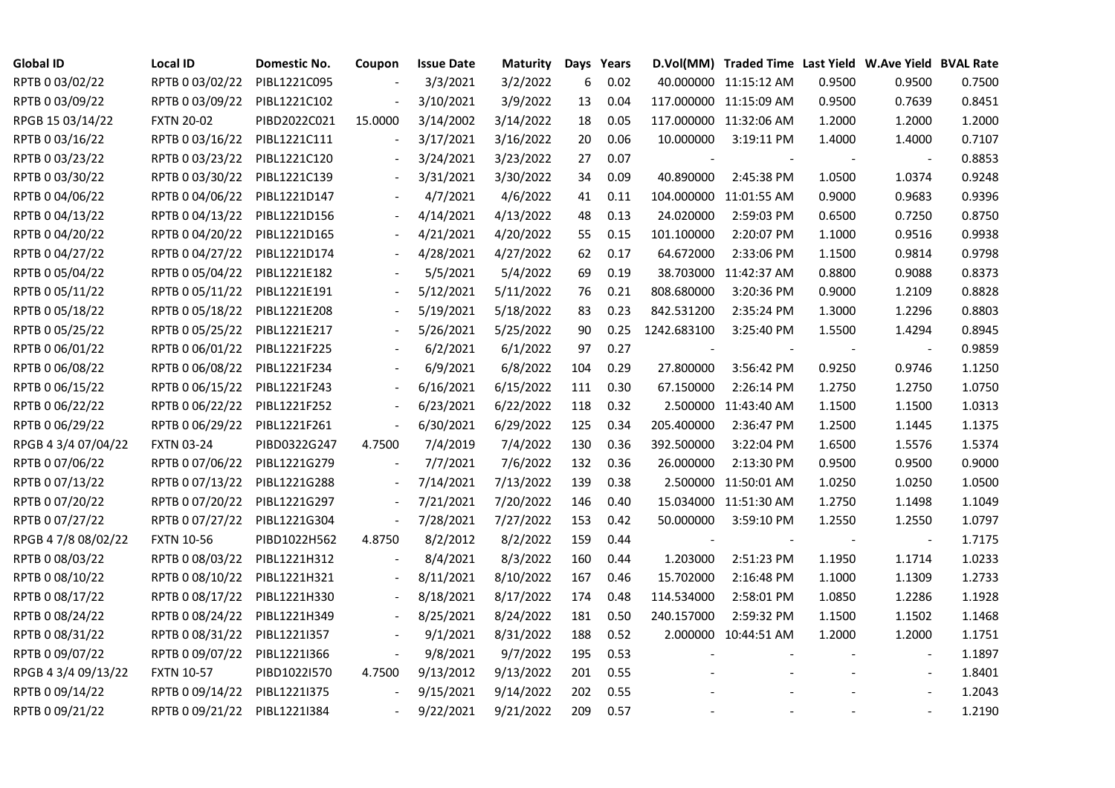| <b>Global ID</b>    | <b>Local ID</b>   | Domestic No. | Coupon                       | <b>Issue Date</b> | <b>Maturity</b> |     | Days Years |             | D.Vol(MM) Traded Time Last Yield W.Ave Yield BVAL Rate |        |                          |        |
|---------------------|-------------------|--------------|------------------------------|-------------------|-----------------|-----|------------|-------------|--------------------------------------------------------|--------|--------------------------|--------|
| RPTB 0 03/02/22     | RPTB 0 03/02/22   | PIBL1221C095 |                              | 3/3/2021          | 3/2/2022        | 6   | 0.02       |             | 40.000000 11:15:12 AM                                  | 0.9500 | 0.9500                   | 0.7500 |
| RPTB 0 03/09/22     | RPTB 0 03/09/22   | PIBL1221C102 |                              | 3/10/2021         | 3/9/2022        | 13  | 0.04       |             | 117.000000 11:15:09 AM                                 | 0.9500 | 0.7639                   | 0.8451 |
| RPGB 15 03/14/22    | <b>FXTN 20-02</b> | PIBD2022C021 | 15.0000                      | 3/14/2002         | 3/14/2022       | 18  | 0.05       |             | 117.000000 11:32:06 AM                                 | 1.2000 | 1.2000                   | 1.2000 |
| RPTB 0 03/16/22     | RPTB 0 03/16/22   | PIBL1221C111 | $\overline{\phantom{a}}$     | 3/17/2021         | 3/16/2022       | 20  | 0.06       | 10.000000   | 3:19:11 PM                                             | 1.4000 | 1.4000                   | 0.7107 |
| RPTB 0 03/23/22     | RPTB 0 03/23/22   | PIBL1221C120 |                              | 3/24/2021         | 3/23/2022       | 27  | 0.07       |             |                                                        |        |                          | 0.8853 |
| RPTB 0 03/30/22     | RPTB 0 03/30/22   | PIBL1221C139 |                              | 3/31/2021         | 3/30/2022       | 34  | 0.09       | 40.890000   | 2:45:38 PM                                             | 1.0500 | 1.0374                   | 0.9248 |
| RPTB 0 04/06/22     | RPTB 0 04/06/22   | PIBL1221D147 |                              | 4/7/2021          | 4/6/2022        | 41  | 0.11       |             | 104.000000 11:01:55 AM                                 | 0.9000 | 0.9683                   | 0.9396 |
| RPTB 0 04/13/22     | RPTB 0 04/13/22   | PIBL1221D156 |                              | 4/14/2021         | 4/13/2022       | 48  | 0.13       | 24.020000   | 2:59:03 PM                                             | 0.6500 | 0.7250                   | 0.8750 |
| RPTB 0 04/20/22     | RPTB 0 04/20/22   | PIBL1221D165 |                              | 4/21/2021         | 4/20/2022       | 55  | 0.15       | 101.100000  | 2:20:07 PM                                             | 1.1000 | 0.9516                   | 0.9938 |
| RPTB 0 04/27/22     | RPTB 0 04/27/22   | PIBL1221D174 |                              | 4/28/2021         | 4/27/2022       | 62  | 0.17       | 64.672000   | 2:33:06 PM                                             | 1.1500 | 0.9814                   | 0.9798 |
| RPTB 0 05/04/22     | RPTB 0 05/04/22   | PIBL1221E182 |                              | 5/5/2021          | 5/4/2022        | 69  | 0.19       |             | 38.703000 11:42:37 AM                                  | 0.8800 | 0.9088                   | 0.8373 |
| RPTB 0 05/11/22     | RPTB 0 05/11/22   | PIBL1221E191 |                              | 5/12/2021         | 5/11/2022       | 76  | 0.21       | 808.680000  | 3:20:36 PM                                             | 0.9000 | 1.2109                   | 0.8828 |
| RPTB 0 05/18/22     | RPTB 0 05/18/22   | PIBL1221E208 |                              | 5/19/2021         | 5/18/2022       | 83  | 0.23       | 842.531200  | 2:35:24 PM                                             | 1.3000 | 1.2296                   | 0.8803 |
| RPTB 0 05/25/22     | RPTB 0 05/25/22   | PIBL1221E217 |                              | 5/26/2021         | 5/25/2022       | 90  | 0.25       | 1242.683100 | 3:25:40 PM                                             | 1.5500 | 1.4294                   | 0.8945 |
| RPTB 0 06/01/22     | RPTB 0 06/01/22   | PIBL1221F225 |                              | 6/2/2021          | 6/1/2022        | 97  | 0.27       |             |                                                        |        | $\overline{\phantom{a}}$ | 0.9859 |
| RPTB 0 06/08/22     | RPTB 0 06/08/22   | PIBL1221F234 |                              | 6/9/2021          | 6/8/2022        | 104 | 0.29       | 27.800000   | 3:56:42 PM                                             | 0.9250 | 0.9746                   | 1.1250 |
| RPTB 0 06/15/22     | RPTB 0 06/15/22   | PIBL1221F243 |                              | 6/16/2021         | 6/15/2022       | 111 | 0.30       | 67.150000   | 2:26:14 PM                                             | 1.2750 | 1.2750                   | 1.0750 |
| RPTB 0 06/22/22     | RPTB 0 06/22/22   | PIBL1221F252 | $\overline{\phantom{a}}$     | 6/23/2021         | 6/22/2022       | 118 | 0.32       |             | 2.500000 11:43:40 AM                                   | 1.1500 | 1.1500                   | 1.0313 |
| RPTB 0 06/29/22     | RPTB 0 06/29/22   | PIBL1221F261 | $\blacksquare$               | 6/30/2021         | 6/29/2022       | 125 | 0.34       | 205.400000  | 2:36:47 PM                                             | 1.2500 | 1.1445                   | 1.1375 |
| RPGB 4 3/4 07/04/22 | <b>FXTN 03-24</b> | PIBD0322G247 | 4.7500                       | 7/4/2019          | 7/4/2022        | 130 | 0.36       | 392.500000  | 3:22:04 PM                                             | 1.6500 | 1.5576                   | 1.5374 |
| RPTB 0 07/06/22     | RPTB 0 07/06/22   | PIBL1221G279 | $\overline{\phantom{a}}$     | 7/7/2021          | 7/6/2022        | 132 | 0.36       | 26.000000   | 2:13:30 PM                                             | 0.9500 | 0.9500                   | 0.9000 |
| RPTB 0 07/13/22     | RPTB 0 07/13/22   | PIBL1221G288 | $\frac{1}{2}$                | 7/14/2021         | 7/13/2022       | 139 | 0.38       |             | 2.500000 11:50:01 AM                                   | 1.0250 | 1.0250                   | 1.0500 |
| RPTB 0 07/20/22     | RPTB 0 07/20/22   | PIBL1221G297 |                              | 7/21/2021         | 7/20/2022       | 146 | 0.40       |             | 15.034000 11:51:30 AM                                  | 1.2750 | 1.1498                   | 1.1049 |
| RPTB 0 07/27/22     | RPTB 0 07/27/22   | PIBL1221G304 | $\blacksquare$               | 7/28/2021         | 7/27/2022       | 153 | 0.42       | 50.000000   | 3:59:10 PM                                             | 1.2550 | 1.2550                   | 1.0797 |
| RPGB 4 7/8 08/02/22 | <b>FXTN 10-56</b> | PIBD1022H562 | 4.8750                       | 8/2/2012          | 8/2/2022        | 159 | 0.44       |             |                                                        |        |                          | 1.7175 |
| RPTB 0 08/03/22     | RPTB 0 08/03/22   | PIBL1221H312 | $\overline{\phantom{a}}$     | 8/4/2021          | 8/3/2022        | 160 | 0.44       | 1.203000    | 2:51:23 PM                                             | 1.1950 | 1.1714                   | 1.0233 |
| RPTB 0 08/10/22     | RPTB 0 08/10/22   | PIBL1221H321 | $\overline{\phantom{a}}$     | 8/11/2021         | 8/10/2022       | 167 | 0.46       | 15.702000   | 2:16:48 PM                                             | 1.1000 | 1.1309                   | 1.2733 |
| RPTB 0 08/17/22     | RPTB 0 08/17/22   | PIBL1221H330 |                              | 8/18/2021         | 8/17/2022       | 174 | 0.48       | 114.534000  | 2:58:01 PM                                             | 1.0850 | 1.2286                   | 1.1928 |
| RPTB 0 08/24/22     | RPTB 0 08/24/22   | PIBL1221H349 |                              | 8/25/2021         | 8/24/2022       | 181 | 0.50       | 240.157000  | 2:59:32 PM                                             | 1.1500 | 1.1502                   | 1.1468 |
| RPTB 0 08/31/22     | RPTB 0 08/31/22   | PIBL1221I357 |                              | 9/1/2021          | 8/31/2022       | 188 | 0.52       |             | 2.000000 10:44:51 AM                                   | 1.2000 | 1.2000                   | 1.1751 |
| RPTB 0 09/07/22     | RPTB 0 09/07/22   | PIBL1221I366 | $\qquad \qquad \blacksquare$ | 9/8/2021          | 9/7/2022        | 195 | 0.53       |             |                                                        |        |                          | 1.1897 |
| RPGB 4 3/4 09/13/22 | <b>FXTN 10-57</b> | PIBD1022I570 | 4.7500                       | 9/13/2012         | 9/13/2022       | 201 | 0.55       |             |                                                        |        | $\overline{\phantom{a}}$ | 1.8401 |
| RPTB 0 09/14/22     | RPTB 0 09/14/22   | PIBL1221I375 |                              | 9/15/2021         | 9/14/2022       | 202 | 0.55       |             |                                                        |        |                          | 1.2043 |
| RPTB 0 09/21/22     | RPTB 0 09/21/22   | PIBL1221I384 |                              | 9/22/2021         | 9/21/2022       | 209 | 0.57       |             |                                                        |        | $\blacksquare$           | 1.2190 |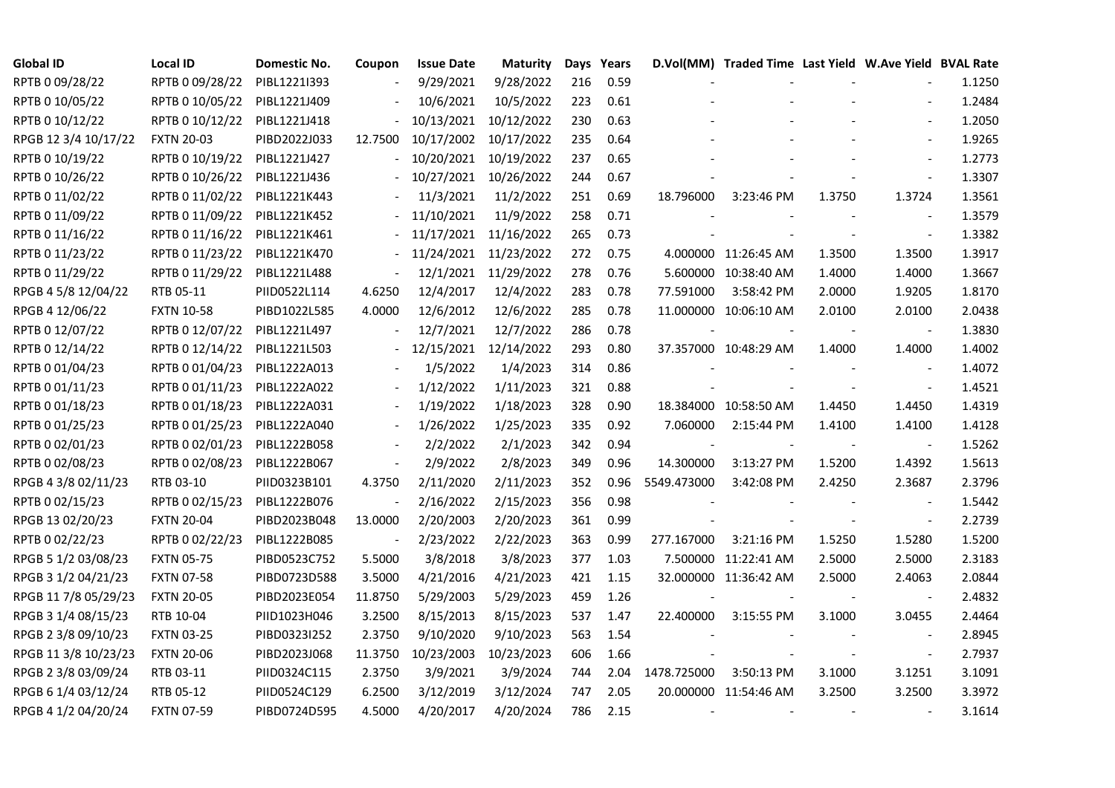| <b>Global ID</b>     | Local ID          | Domestic No. | Coupon                   | <b>Issue Date</b> | <b>Maturity</b> |     | Days Years |             | D.Vol(MM) Traded Time Last Yield W.Ave Yield BVAL Rate |        |                          |        |
|----------------------|-------------------|--------------|--------------------------|-------------------|-----------------|-----|------------|-------------|--------------------------------------------------------|--------|--------------------------|--------|
| RPTB 0 09/28/22      | RPTB 0 09/28/22   | PIBL1221I393 |                          | 9/29/2021         | 9/28/2022       | 216 | 0.59       |             |                                                        |        |                          | 1.1250 |
| RPTB 0 10/05/22      | RPTB 0 10/05/22   | PIBL1221J409 |                          | 10/6/2021         | 10/5/2022       | 223 | 0.61       |             |                                                        |        |                          | 1.2484 |
| RPTB 0 10/12/22      | RPTB 0 10/12/22   | PIBL1221J418 |                          | 10/13/2021        | 10/12/2022      | 230 | 0.63       |             |                                                        |        |                          | 1.2050 |
| RPGB 12 3/4 10/17/22 | <b>FXTN 20-03</b> | PIBD2022J033 | 12.7500                  | 10/17/2002        | 10/17/2022      | 235 | 0.64       |             |                                                        |        | $\blacksquare$           | 1.9265 |
| RPTB 0 10/19/22      | RPTB 0 10/19/22   | PIBL1221J427 | $\blacksquare$           | 10/20/2021        | 10/19/2022      | 237 | 0.65       |             |                                                        |        | $\overline{a}$           | 1.2773 |
| RPTB 0 10/26/22      | RPTB 0 10/26/22   | PIBL1221J436 |                          | 10/27/2021        | 10/26/2022      | 244 | 0.67       |             |                                                        |        |                          | 1.3307 |
| RPTB 0 11/02/22      | RPTB 0 11/02/22   | PIBL1221K443 |                          | 11/3/2021         | 11/2/2022       | 251 | 0.69       | 18.796000   | 3:23:46 PM                                             | 1.3750 | 1.3724                   | 1.3561 |
| RPTB 0 11/09/22      | RPTB 0 11/09/22   | PIBL1221K452 |                          | 11/10/2021        | 11/9/2022       | 258 | 0.71       |             |                                                        |        |                          | 1.3579 |
| RPTB 0 11/16/22      | RPTB 0 11/16/22   | PIBL1221K461 |                          | 11/17/2021        | 11/16/2022      | 265 | 0.73       |             |                                                        |        |                          | 1.3382 |
| RPTB 0 11/23/22      | RPTB 0 11/23/22   | PIBL1221K470 |                          | 11/24/2021        | 11/23/2022      | 272 | 0.75       |             | 4.000000 11:26:45 AM                                   | 1.3500 | 1.3500                   | 1.3917 |
| RPTB 0 11/29/22      | RPTB 0 11/29/22   | PIBL1221L488 | $\blacksquare$           | 12/1/2021         | 11/29/2022      | 278 | 0.76       |             | 5.600000 10:38:40 AM                                   | 1.4000 | 1.4000                   | 1.3667 |
| RPGB 4 5/8 12/04/22  | RTB 05-11         | PIID0522L114 | 4.6250                   | 12/4/2017         | 12/4/2022       | 283 | 0.78       | 77.591000   | 3:58:42 PM                                             | 2.0000 | 1.9205                   | 1.8170 |
| RPGB 4 12/06/22      | <b>FXTN 10-58</b> | PIBD1022L585 | 4.0000                   | 12/6/2012         | 12/6/2022       | 285 | 0.78       |             | 11.000000 10:06:10 AM                                  | 2.0100 | 2.0100                   | 2.0438 |
| RPTB 0 12/07/22      | RPTB 0 12/07/22   | PIBL1221L497 |                          | 12/7/2021         | 12/7/2022       | 286 | 0.78       |             |                                                        |        | $\overline{\phantom{a}}$ | 1.3830 |
| RPTB 0 12/14/22      | RPTB 0 12/14/22   | PIBL1221L503 |                          | 12/15/2021        | 12/14/2022      | 293 | 0.80       |             | 37.357000 10:48:29 AM                                  | 1.4000 | 1.4000                   | 1.4002 |
| RPTB 0 01/04/23      | RPTB 0 01/04/23   | PIBL1222A013 |                          | 1/5/2022          | 1/4/2023        | 314 | 0.86       |             |                                                        |        |                          | 1.4072 |
| RPTB 0 01/11/23      | RPTB 0 01/11/23   | PIBL1222A022 |                          | 1/12/2022         | 1/11/2023       | 321 | 0.88       |             |                                                        |        | $\overline{\phantom{a}}$ | 1.4521 |
| RPTB 0 01/18/23      | RPTB 0 01/18/23   | PIBL1222A031 | $\blacksquare$           | 1/19/2022         | 1/18/2023       | 328 | 0.90       |             | 18.384000 10:58:50 AM                                  | 1.4450 | 1.4450                   | 1.4319 |
| RPTB 0 01/25/23      | RPTB 0 01/25/23   | PIBL1222A040 |                          | 1/26/2022         | 1/25/2023       | 335 | 0.92       | 7.060000    | 2:15:44 PM                                             | 1.4100 | 1.4100                   | 1.4128 |
| RPTB 0 02/01/23      | RPTB 0 02/01/23   | PIBL1222B058 |                          | 2/2/2022          | 2/1/2023        | 342 | 0.94       |             |                                                        |        | $\blacksquare$           | 1.5262 |
| RPTB 0 02/08/23      | RPTB 0 02/08/23   | PIBL1222B067 | $\overline{\phantom{a}}$ | 2/9/2022          | 2/8/2023        | 349 | 0.96       | 14.300000   | 3:13:27 PM                                             | 1.5200 | 1.4392                   | 1.5613 |
| RPGB 4 3/8 02/11/23  | RTB 03-10         | PIID0323B101 | 4.3750                   | 2/11/2020         | 2/11/2023       | 352 | 0.96       | 5549.473000 | 3:42:08 PM                                             | 2.4250 | 2.3687                   | 2.3796 |
| RPTB 0 02/15/23      | RPTB 0 02/15/23   | PIBL1222B076 |                          | 2/16/2022         | 2/15/2023       | 356 | 0.98       |             |                                                        |        |                          | 1.5442 |
| RPGB 13 02/20/23     | <b>FXTN 20-04</b> | PIBD2023B048 | 13.0000                  | 2/20/2003         | 2/20/2023       | 361 | 0.99       |             |                                                        |        | $\blacksquare$           | 2.2739 |
| RPTB 0 02/22/23      | RPTB 0 02/22/23   | PIBL1222B085 |                          | 2/23/2022         | 2/22/2023       | 363 | 0.99       | 277.167000  | 3:21:16 PM                                             | 1.5250 | 1.5280                   | 1.5200 |
| RPGB 5 1/2 03/08/23  | <b>FXTN 05-75</b> | PIBD0523C752 | 5.5000                   | 3/8/2018          | 3/8/2023        | 377 | 1.03       |             | 7.500000 11:22:41 AM                                   | 2.5000 | 2.5000                   | 2.3183 |
| RPGB 3 1/2 04/21/23  | <b>FXTN 07-58</b> | PIBD0723D588 | 3.5000                   | 4/21/2016         | 4/21/2023       | 421 | 1.15       |             | 32.000000 11:36:42 AM                                  | 2.5000 | 2.4063                   | 2.0844 |
| RPGB 11 7/8 05/29/23 | <b>FXTN 20-05</b> | PIBD2023E054 | 11.8750                  | 5/29/2003         | 5/29/2023       | 459 | 1.26       |             |                                                        |        | $\blacksquare$           | 2.4832 |
| RPGB 3 1/4 08/15/23  | RTB 10-04         | PIID1023H046 | 3.2500                   | 8/15/2013         | 8/15/2023       | 537 | 1.47       | 22.400000   | 3:15:55 PM                                             | 3.1000 | 3.0455                   | 2.4464 |
| RPGB 2 3/8 09/10/23  | <b>FXTN 03-25</b> | PIBD0323I252 | 2.3750                   | 9/10/2020         | 9/10/2023       | 563 | 1.54       |             |                                                        |        |                          | 2.8945 |
| RPGB 11 3/8 10/23/23 | <b>FXTN 20-06</b> | PIBD2023J068 | 11.3750                  | 10/23/2003        | 10/23/2023      | 606 | 1.66       |             |                                                        |        | $\overline{\phantom{a}}$ | 2.7937 |
| RPGB 2 3/8 03/09/24  | RTB 03-11         | PIID0324C115 | 2.3750                   | 3/9/2021          | 3/9/2024        | 744 | 2.04       | 1478.725000 | 3:50:13 PM                                             | 3.1000 | 3.1251                   | 3.1091 |
| RPGB 6 1/4 03/12/24  | RTB 05-12         | PIID0524C129 | 6.2500                   | 3/12/2019         | 3/12/2024       | 747 | 2.05       |             | 20.000000 11:54:46 AM                                  | 3.2500 | 3.2500                   | 3.3972 |
| RPGB 4 1/2 04/20/24  | <b>FXTN 07-59</b> | PIBD0724D595 | 4.5000                   | 4/20/2017         | 4/20/2024       | 786 | 2.15       |             |                                                        |        |                          | 3.1614 |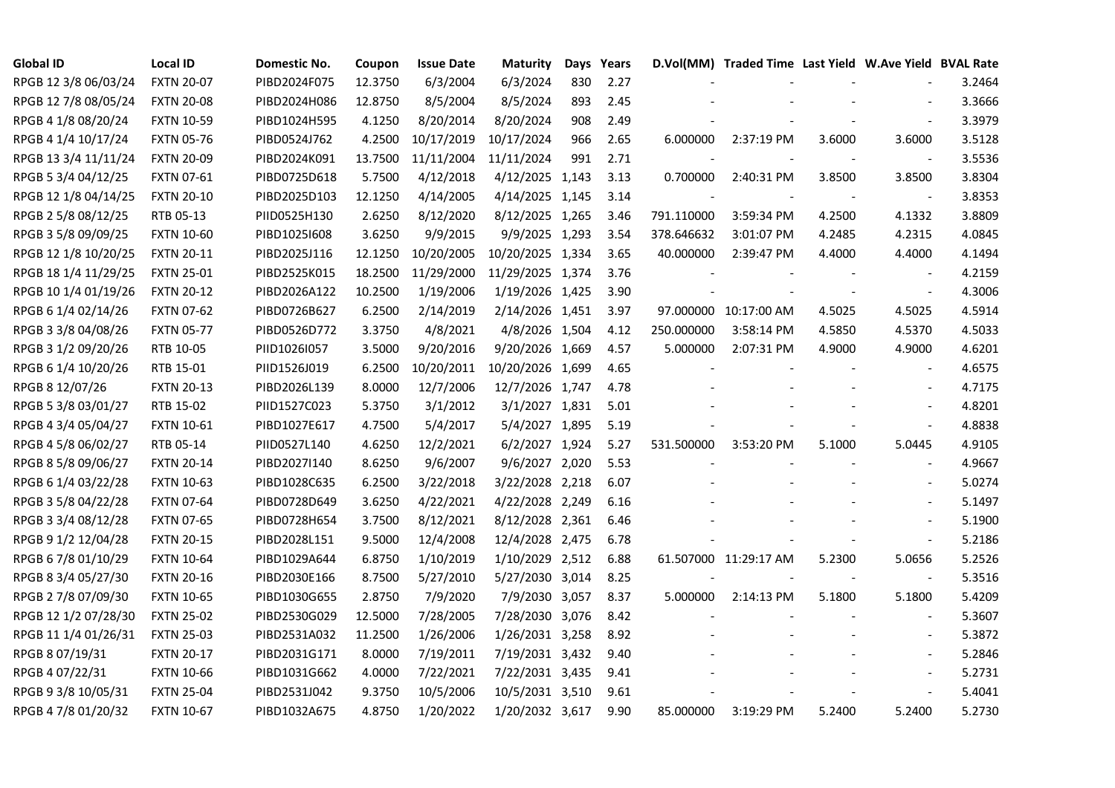| <b>Global ID</b>     | <b>Local ID</b>   | Domestic No. | Coupon  | <b>Issue Date</b> | <b>Maturity</b>  | Days | Years |                          | D.Vol(MM) Traded Time Last Yield W.Ave Yield BVAL Rate |        |                          |        |
|----------------------|-------------------|--------------|---------|-------------------|------------------|------|-------|--------------------------|--------------------------------------------------------|--------|--------------------------|--------|
| RPGB 12 3/8 06/03/24 | <b>FXTN 20-07</b> | PIBD2024F075 | 12.3750 | 6/3/2004          | 6/3/2024         | 830  | 2.27  |                          |                                                        |        |                          | 3.2464 |
| RPGB 12 7/8 08/05/24 | <b>FXTN 20-08</b> | PIBD2024H086 | 12.8750 | 8/5/2004          | 8/5/2024         | 893  | 2.45  |                          |                                                        |        |                          | 3.3666 |
| RPGB 4 1/8 08/20/24  | <b>FXTN 10-59</b> | PIBD1024H595 | 4.1250  | 8/20/2014         | 8/20/2024        | 908  | 2.49  |                          |                                                        |        | $\sim$                   | 3.3979 |
| RPGB 4 1/4 10/17/24  | <b>FXTN 05-76</b> | PIBD0524J762 | 4.2500  | 10/17/2019        | 10/17/2024       | 966  | 2.65  | 6.000000                 | 2:37:19 PM                                             | 3.6000 | 3.6000                   | 3.5128 |
| RPGB 13 3/4 11/11/24 | <b>FXTN 20-09</b> | PIBD2024K091 | 13.7500 | 11/11/2004        | 11/11/2024       | 991  | 2.71  |                          |                                                        |        | $\overline{\phantom{a}}$ | 3.5536 |
| RPGB 5 3/4 04/12/25  | <b>FXTN 07-61</b> | PIBD0725D618 | 5.7500  | 4/12/2018         | 4/12/2025 1,143  |      | 3.13  | 0.700000                 | 2:40:31 PM                                             | 3.8500 | 3.8500                   | 3.8304 |
| RPGB 12 1/8 04/14/25 | <b>FXTN 20-10</b> | PIBD2025D103 | 12.1250 | 4/14/2005         | 4/14/2025 1,145  |      | 3.14  | $\overline{\phantom{a}}$ |                                                        |        | $\overline{\phantom{a}}$ | 3.8353 |
| RPGB 2 5/8 08/12/25  | RTB 05-13         | PIID0525H130 | 2.6250  | 8/12/2020         | 8/12/2025 1,265  |      | 3.46  | 791.110000               | 3:59:34 PM                                             | 4.2500 | 4.1332                   | 3.8809 |
| RPGB 3 5/8 09/09/25  | <b>FXTN 10-60</b> | PIBD10251608 | 3.6250  | 9/9/2015          | 9/9/2025 1,293   |      | 3.54  | 378.646632               | 3:01:07 PM                                             | 4.2485 | 4.2315                   | 4.0845 |
| RPGB 12 1/8 10/20/25 | <b>FXTN 20-11</b> | PIBD2025J116 | 12.1250 | 10/20/2005        | 10/20/2025 1,334 |      | 3.65  | 40.000000                | 2:39:47 PM                                             | 4.4000 | 4.4000                   | 4.1494 |
| RPGB 18 1/4 11/29/25 | <b>FXTN 25-01</b> | PIBD2525K015 | 18.2500 | 11/29/2000        | 11/29/2025 1,374 |      | 3.76  |                          |                                                        |        | $\sim$                   | 4.2159 |
| RPGB 10 1/4 01/19/26 | <b>FXTN 20-12</b> | PIBD2026A122 | 10.2500 | 1/19/2006         | 1/19/2026 1,425  |      | 3.90  |                          |                                                        |        | $\blacksquare$           | 4.3006 |
| RPGB 6 1/4 02/14/26  | <b>FXTN 07-62</b> | PIBD0726B627 | 6.2500  | 2/14/2019         | 2/14/2026 1,451  |      | 3.97  |                          | 97.000000 10:17:00 AM                                  | 4.5025 | 4.5025                   | 4.5914 |
| RPGB 3 3/8 04/08/26  | <b>FXTN 05-77</b> | PIBD0526D772 | 3.3750  | 4/8/2021          | 4/8/2026 1,504   |      | 4.12  | 250.000000               | 3:58:14 PM                                             | 4.5850 | 4.5370                   | 4.5033 |
| RPGB 3 1/2 09/20/26  | RTB 10-05         | PIID1026I057 | 3.5000  | 9/20/2016         | 9/20/2026 1,669  |      | 4.57  | 5.000000                 | 2:07:31 PM                                             | 4.9000 | 4.9000                   | 4.6201 |
| RPGB 6 1/4 10/20/26  | RTB 15-01         | PIID1526J019 | 6.2500  | 10/20/2011        | 10/20/2026 1,699 |      | 4.65  |                          |                                                        |        |                          | 4.6575 |
| RPGB 8 12/07/26      | <b>FXTN 20-13</b> | PIBD2026L139 | 8.0000  | 12/7/2006         | 12/7/2026 1,747  |      | 4.78  |                          |                                                        |        | $\sim$                   | 4.7175 |
| RPGB 5 3/8 03/01/27  | RTB 15-02         | PIID1527C023 | 5.3750  | 3/1/2012          | 3/1/2027 1,831   |      | 5.01  |                          |                                                        |        | $\blacksquare$           | 4.8201 |
| RPGB 4 3/4 05/04/27  | <b>FXTN 10-61</b> | PIBD1027E617 | 4.7500  | 5/4/2017          | 5/4/2027 1,895   |      | 5.19  |                          |                                                        |        | $\blacksquare$           | 4.8838 |
| RPGB 4 5/8 06/02/27  | RTB 05-14         | PIID0527L140 | 4.6250  | 12/2/2021         | 6/2/2027 1,924   |      | 5.27  | 531.500000               | 3:53:20 PM                                             | 5.1000 | 5.0445                   | 4.9105 |
| RPGB 8 5/8 09/06/27  | <b>FXTN 20-14</b> | PIBD2027I140 | 8.6250  | 9/6/2007          | 9/6/2027 2,020   |      | 5.53  |                          |                                                        |        | $\overline{\phantom{a}}$ | 4.9667 |
| RPGB 6 1/4 03/22/28  | <b>FXTN 10-63</b> | PIBD1028C635 | 6.2500  | 3/22/2018         | 3/22/2028 2,218  |      | 6.07  |                          |                                                        |        | $\sim$                   | 5.0274 |
| RPGB 3 5/8 04/22/28  | <b>FXTN 07-64</b> | PIBD0728D649 | 3.6250  | 4/22/2021         | 4/22/2028 2,249  |      | 6.16  |                          |                                                        |        |                          | 5.1497 |
| RPGB 3 3/4 08/12/28  | <b>FXTN 07-65</b> | PIBD0728H654 | 3.7500  | 8/12/2021         | 8/12/2028 2,361  |      | 6.46  |                          |                                                        |        | $\overline{\phantom{a}}$ | 5.1900 |
| RPGB 9 1/2 12/04/28  | <b>FXTN 20-15</b> | PIBD2028L151 | 9.5000  | 12/4/2008         | 12/4/2028 2,475  |      | 6.78  |                          |                                                        |        | $\blacksquare$           | 5.2186 |
| RPGB 6 7/8 01/10/29  | <b>FXTN 10-64</b> | PIBD1029A644 | 6.8750  | 1/10/2019         | 1/10/2029 2,512  |      | 6.88  |                          | 61.507000 11:29:17 AM                                  | 5.2300 | 5.0656                   | 5.2526 |
| RPGB 8 3/4 05/27/30  | <b>FXTN 20-16</b> | PIBD2030E166 | 8.7500  | 5/27/2010         | 5/27/2030 3,014  |      | 8.25  |                          |                                                        |        | $\blacksquare$           | 5.3516 |
| RPGB 2 7/8 07/09/30  | <b>FXTN 10-65</b> | PIBD1030G655 | 2.8750  | 7/9/2020          | 7/9/2030 3,057   |      | 8.37  | 5.000000                 | 2:14:13 PM                                             | 5.1800 | 5.1800                   | 5.4209 |
| RPGB 12 1/2 07/28/30 | <b>FXTN 25-02</b> | PIBD2530G029 | 12.5000 | 7/28/2005         | 7/28/2030 3,076  |      | 8.42  |                          |                                                        |        |                          | 5.3607 |
| RPGB 11 1/4 01/26/31 | <b>FXTN 25-03</b> | PIBD2531A032 | 11.2500 | 1/26/2006         | 1/26/2031 3,258  |      | 8.92  |                          |                                                        |        |                          | 5.3872 |
| RPGB 8 07/19/31      | <b>FXTN 20-17</b> | PIBD2031G171 | 8.0000  | 7/19/2011         | 7/19/2031 3,432  |      | 9.40  |                          |                                                        |        | $\overline{\phantom{a}}$ | 5.2846 |
| RPGB 4 07/22/31      | <b>FXTN 10-66</b> | PIBD1031G662 | 4.0000  | 7/22/2021         | 7/22/2031 3,435  |      | 9.41  |                          |                                                        |        | $\blacksquare$           | 5.2731 |
| RPGB 9 3/8 10/05/31  | <b>FXTN 25-04</b> | PIBD2531J042 | 9.3750  | 10/5/2006         | 10/5/2031 3,510  |      | 9.61  |                          |                                                        |        | $\overline{\phantom{a}}$ | 5.4041 |
| RPGB 4 7/8 01/20/32  | <b>FXTN 10-67</b> | PIBD1032A675 | 4.8750  | 1/20/2022         | 1/20/2032 3,617  |      | 9.90  | 85.000000                | 3:19:29 PM                                             | 5.2400 | 5.2400                   | 5.2730 |